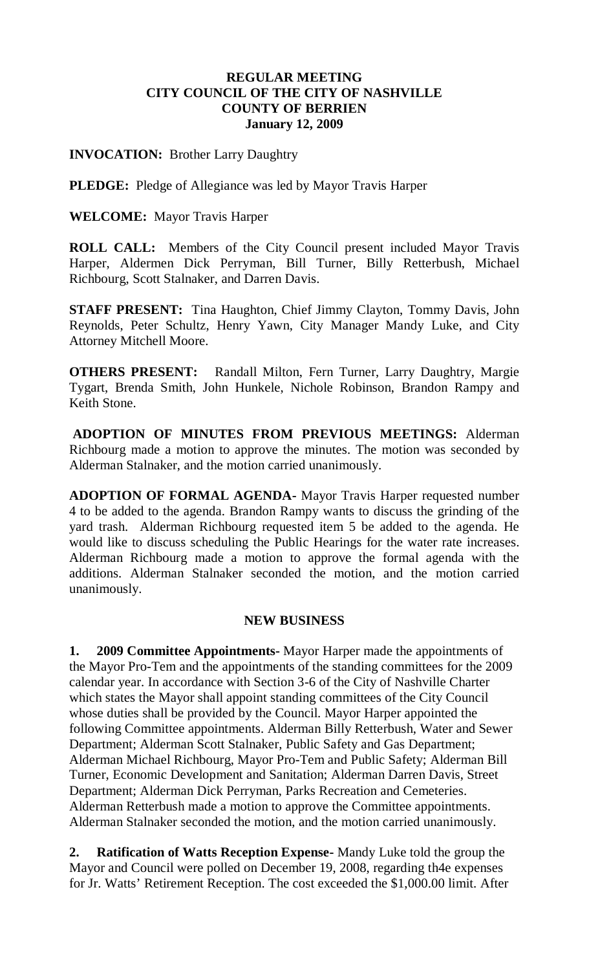## **REGULAR MEETING CITY COUNCIL OF THE CITY OF NASHVILLE COUNTY OF BERRIEN January 12, 2009**

### **INVOCATION:** Brother Larry Daughtry

**PLEDGE:** Pledge of Allegiance was led by Mayor Travis Harper

### **WELCOME:** Mayor Travis Harper

**ROLL CALL:** Members of the City Council present included Mayor Travis Harper, Aldermen Dick Perryman, Bill Turner, Billy Retterbush, Michael Richbourg, Scott Stalnaker, and Darren Davis.

**STAFF PRESENT:** Tina Haughton, Chief Jimmy Clayton, Tommy Davis, John Reynolds, Peter Schultz, Henry Yawn, City Manager Mandy Luke, and City Attorney Mitchell Moore.

**OTHERS PRESENT:** Randall Milton, Fern Turner, Larry Daughtry, Margie Tygart, Brenda Smith, John Hunkele, Nichole Robinson, Brandon Rampy and Keith Stone.

**ADOPTION OF MINUTES FROM PREVIOUS MEETINGS:** Alderman Richbourg made a motion to approve the minutes. The motion was seconded by Alderman Stalnaker, and the motion carried unanimously.

**ADOPTION OF FORMAL AGENDA-** Mayor Travis Harper requested number 4 to be added to the agenda. Brandon Rampy wants to discuss the grinding of the yard trash. Alderman Richbourg requested item 5 be added to the agenda. He would like to discuss scheduling the Public Hearings for the water rate increases. Alderman Richbourg made a motion to approve the formal agenda with the additions. Alderman Stalnaker seconded the motion, and the motion carried unanimously.

### **NEW BUSINESS**

**1. 2009 Committee Appointments-** Mayor Harper made the appointments of the Mayor Pro-Tem and the appointments of the standing committees for the 2009 calendar year. In accordance with Section 3-6 of the City of Nashville Charter which states the Mayor shall appoint standing committees of the City Council whose duties shall be provided by the Council. Mayor Harper appointed the following Committee appointments. Alderman Billy Retterbush, Water and Sewer Department; Alderman Scott Stalnaker, Public Safety and Gas Department; Alderman Michael Richbourg, Mayor Pro-Tem and Public Safety; Alderman Bill Turner, Economic Development and Sanitation; Alderman Darren Davis, Street Department; Alderman Dick Perryman, Parks Recreation and Cemeteries. Alderman Retterbush made a motion to approve the Committee appointments. Alderman Stalnaker seconded the motion, and the motion carried unanimously.

**2. Ratification of Watts Reception Expense-** Mandy Luke told the group the Mayor and Council were polled on December 19, 2008, regarding th4e expenses for Jr. Watts' Retirement Reception. The cost exceeded the \$1,000.00 limit. After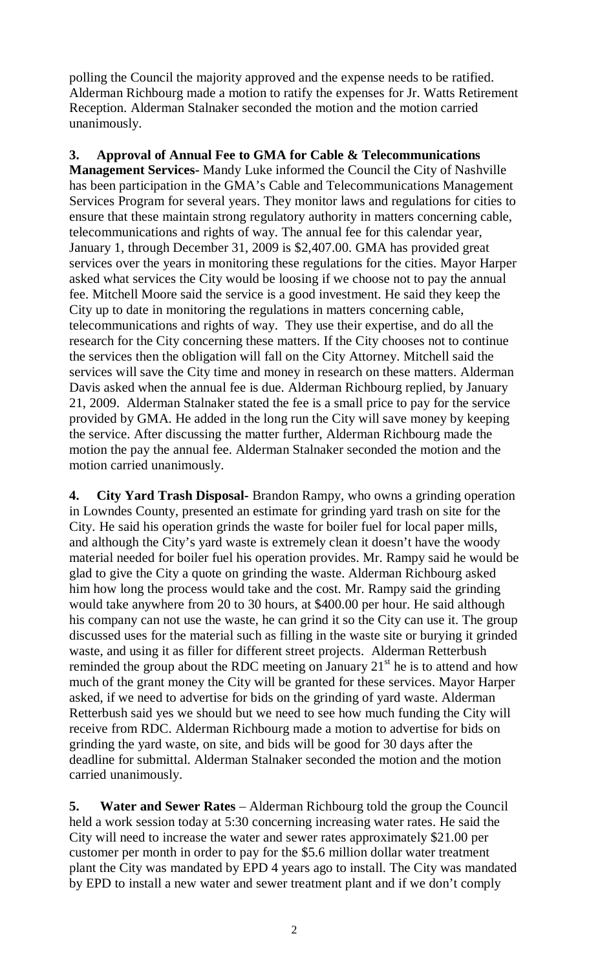polling the Council the majority approved and the expense needs to be ratified. Alderman Richbourg made a motion to ratify the expenses for Jr. Watts Retirement Reception. Alderman Stalnaker seconded the motion and the motion carried unanimously.

**3. Approval of Annual Fee to GMA for Cable & Telecommunications Management Services-** Mandy Luke informed the Council the City of Nashville has been participation in the GMA's Cable and Telecommunications Management Services Program for several years. They monitor laws and regulations for cities to ensure that these maintain strong regulatory authority in matters concerning cable, telecommunications and rights of way. The annual fee for this calendar year, January 1, through December 31, 2009 is \$2,407.00. GMA has provided great services over the years in monitoring these regulations for the cities. Mayor Harper asked what services the City would be loosing if we choose not to pay the annual fee. Mitchell Moore said the service is a good investment. He said they keep the City up to date in monitoring the regulations in matters concerning cable, telecommunications and rights of way. They use their expertise, and do all the research for the City concerning these matters. If the City chooses not to continue the services then the obligation will fall on the City Attorney. Mitchell said the services will save the City time and money in research on these matters. Alderman Davis asked when the annual fee is due. Alderman Richbourg replied, by January 21, 2009. Alderman Stalnaker stated the fee is a small price to pay for the service provided by GMA. He added in the long run the City will save money by keeping the service. After discussing the matter further, Alderman Richbourg made the motion the pay the annual fee. Alderman Stalnaker seconded the motion and the motion carried unanimously.

**4. City Yard Trash Disposal-** Brandon Rampy, who owns a grinding operation in Lowndes County, presented an estimate for grinding yard trash on site for the City. He said his operation grinds the waste for boiler fuel for local paper mills, and although the City's yard waste is extremely clean it doesn't have the woody material needed for boiler fuel his operation provides. Mr. Rampy said he would be glad to give the City a quote on grinding the waste. Alderman Richbourg asked him how long the process would take and the cost. Mr. Rampy said the grinding would take anywhere from 20 to 30 hours, at \$400.00 per hour. He said although his company can not use the waste, he can grind it so the City can use it. The group discussed uses for the material such as filling in the waste site or burying it grinded waste, and using it as filler for different street projects. Alderman Retterbush reminded the group about the RDC meeting on January  $21<sup>st</sup>$  he is to attend and how much of the grant money the City will be granted for these services. Mayor Harper asked, if we need to advertise for bids on the grinding of yard waste. Alderman Retterbush said yes we should but we need to see how much funding the City will receive from RDC. Alderman Richbourg made a motion to advertise for bids on grinding the yard waste, on site, and bids will be good for 30 days after the deadline for submittal. Alderman Stalnaker seconded the motion and the motion carried unanimously.

**5. Water and Sewer Rates** – Alderman Richbourg told the group the Council held a work session today at 5:30 concerning increasing water rates. He said the City will need to increase the water and sewer rates approximately \$21.00 per customer per month in order to pay for the \$5.6 million dollar water treatment plant the City was mandated by EPD 4 years ago to install. The City was mandated by EPD to install a new water and sewer treatment plant and if we don't comply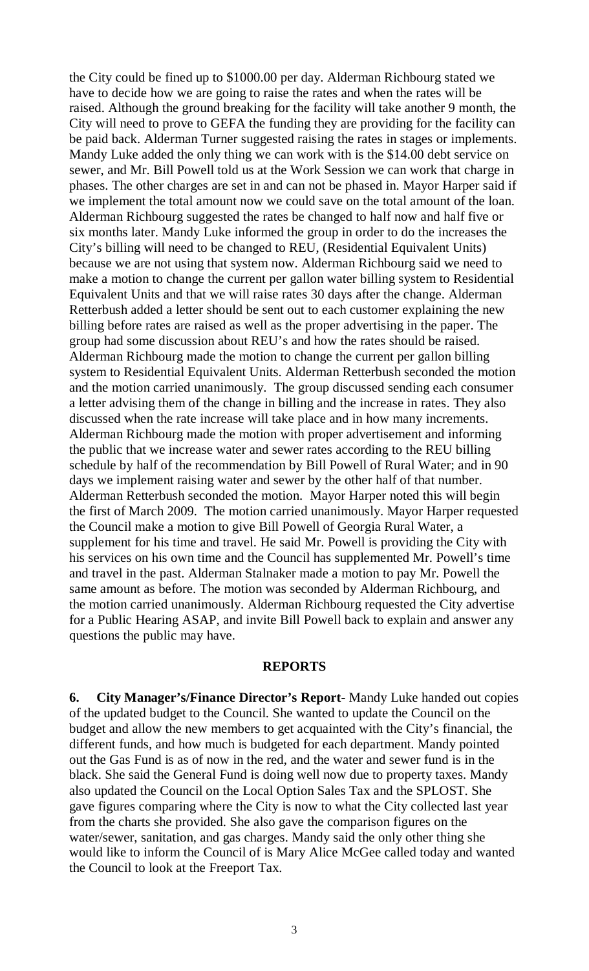the City could be fined up to \$1000.00 per day. Alderman Richbourg stated we have to decide how we are going to raise the rates and when the rates will be raised. Although the ground breaking for the facility will take another 9 month, the City will need to prove to GEFA the funding they are providing for the facility can be paid back. Alderman Turner suggested raising the rates in stages or implements. Mandy Luke added the only thing we can work with is the \$14.00 debt service on sewer, and Mr. Bill Powell told us at the Work Session we can work that charge in phases. The other charges are set in and can not be phased in. Mayor Harper said if we implement the total amount now we could save on the total amount of the loan. Alderman Richbourg suggested the rates be changed to half now and half five or six months later. Mandy Luke informed the group in order to do the increases the City's billing will need to be changed to REU, (Residential Equivalent Units) because we are not using that system now. Alderman Richbourg said we need to make a motion to change the current per gallon water billing system to Residential Equivalent Units and that we will raise rates 30 days after the change. Alderman Retterbush added a letter should be sent out to each customer explaining the new billing before rates are raised as well as the proper advertising in the paper. The group had some discussion about REU's and how the rates should be raised. Alderman Richbourg made the motion to change the current per gallon billing system to Residential Equivalent Units. Alderman Retterbush seconded the motion and the motion carried unanimously. The group discussed sending each consumer a letter advising them of the change in billing and the increase in rates. They also discussed when the rate increase will take place and in how many increments. Alderman Richbourg made the motion with proper advertisement and informing the public that we increase water and sewer rates according to the REU billing schedule by half of the recommendation by Bill Powell of Rural Water; and in 90 days we implement raising water and sewer by the other half of that number. Alderman Retterbush seconded the motion. Mayor Harper noted this will begin the first of March 2009. The motion carried unanimously. Mayor Harper requested the Council make a motion to give Bill Powell of Georgia Rural Water, a supplement for his time and travel. He said Mr. Powell is providing the City with his services on his own time and the Council has supplemented Mr. Powell's time and travel in the past. Alderman Stalnaker made a motion to pay Mr. Powell the same amount as before. The motion was seconded by Alderman Richbourg, and the motion carried unanimously. Alderman Richbourg requested the City advertise for a Public Hearing ASAP, and invite Bill Powell back to explain and answer any questions the public may have.

#### **REPORTS**

**6. City Manager's/Finance Director's Report-** Mandy Luke handed out copies of the updated budget to the Council. She wanted to update the Council on the budget and allow the new members to get acquainted with the City's financial, the different funds, and how much is budgeted for each department. Mandy pointed out the Gas Fund is as of now in the red, and the water and sewer fund is in the black. She said the General Fund is doing well now due to property taxes. Mandy also updated the Council on the Local Option Sales Tax and the SPLOST. She gave figures comparing where the City is now to what the City collected last year from the charts she provided. She also gave the comparison figures on the water/sewer, sanitation, and gas charges. Mandy said the only other thing she would like to inform the Council of is Mary Alice McGee called today and wanted the Council to look at the Freeport Tax.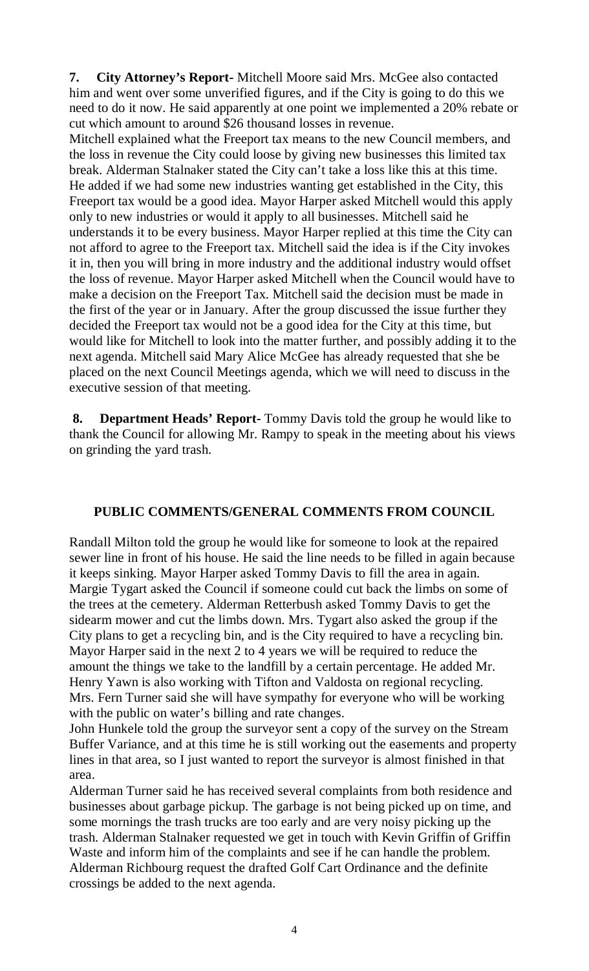**7. City Attorney's Report-** Mitchell Moore said Mrs. McGee also contacted him and went over some unverified figures, and if the City is going to do this we need to do it now. He said apparently at one point we implemented a 20% rebate or cut which amount to around \$26 thousand losses in revenue.

Mitchell explained what the Freeport tax means to the new Council members, and the loss in revenue the City could loose by giving new businesses this limited tax break. Alderman Stalnaker stated the City can't take a loss like this at this time. He added if we had some new industries wanting get established in the City, this Freeport tax would be a good idea. Mayor Harper asked Mitchell would this apply only to new industries or would it apply to all businesses. Mitchell said he understands it to be every business. Mayor Harper replied at this time the City can not afford to agree to the Freeport tax. Mitchell said the idea is if the City invokes it in, then you will bring in more industry and the additional industry would offset the loss of revenue. Mayor Harper asked Mitchell when the Council would have to make a decision on the Freeport Tax. Mitchell said the decision must be made in the first of the year or in January. After the group discussed the issue further they decided the Freeport tax would not be a good idea for the City at this time, but would like for Mitchell to look into the matter further, and possibly adding it to the next agenda. Mitchell said Mary Alice McGee has already requested that she be placed on the next Council Meetings agenda, which we will need to discuss in the executive session of that meeting.

**8. Department Heads' Report-** Tommy Davis told the group he would like to thank the Council for allowing Mr. Rampy to speak in the meeting about his views on grinding the yard trash.

# **PUBLIC COMMENTS/GENERAL COMMENTS FROM COUNCIL**

Randall Milton told the group he would like for someone to look at the repaired sewer line in front of his house. He said the line needs to be filled in again because it keeps sinking. Mayor Harper asked Tommy Davis to fill the area in again. Margie Tygart asked the Council if someone could cut back the limbs on some of the trees at the cemetery. Alderman Retterbush asked Tommy Davis to get the sidearm mower and cut the limbs down. Mrs. Tygart also asked the group if the City plans to get a recycling bin, and is the City required to have a recycling bin. Mayor Harper said in the next 2 to 4 years we will be required to reduce the amount the things we take to the landfill by a certain percentage. He added Mr. Henry Yawn is also working with Tifton and Valdosta on regional recycling. Mrs. Fern Turner said she will have sympathy for everyone who will be working with the public on water's billing and rate changes.

John Hunkele told the group the surveyor sent a copy of the survey on the Stream Buffer Variance, and at this time he is still working out the easements and property lines in that area, so I just wanted to report the surveyor is almost finished in that area.

Alderman Turner said he has received several complaints from both residence and businesses about garbage pickup. The garbage is not being picked up on time, and some mornings the trash trucks are too early and are very noisy picking up the trash. Alderman Stalnaker requested we get in touch with Kevin Griffin of Griffin Waste and inform him of the complaints and see if he can handle the problem. Alderman Richbourg request the drafted Golf Cart Ordinance and the definite crossings be added to the next agenda.